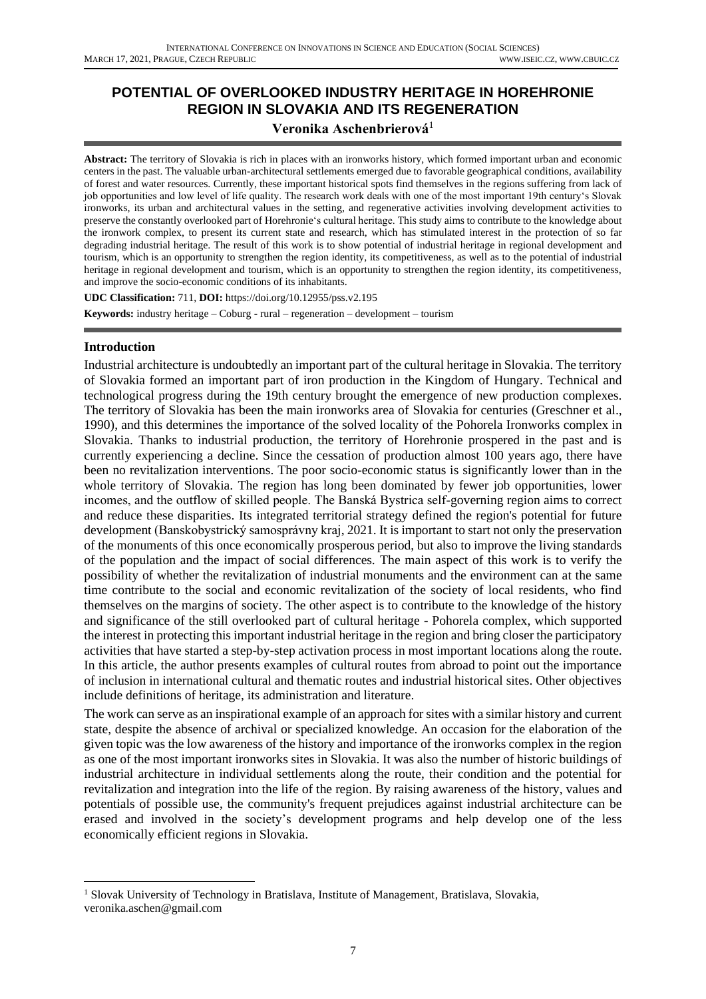# **POTENTIAL OF OVERLOOKED INDUSTRY HERITAGE IN HOREHRONIE REGION IN SLOVAKIA AND ITS REGENERATION**

## **Veronika Aschenbrierová**<sup>1</sup>

**Abstract:** The territory of Slovakia is rich in places with an ironworks history, which formed important urban and economic centers in the past. The valuable urban-architectural settlements emerged due to favorable geographical conditions, availability of forest and water resources. Currently, these important historical spots find themselves in the regions suffering from lack of job opportunities and low level of life quality. The research work deals with one of the most important 19th century's Slovak ironworks, its urban and architectural values in the setting, and regenerative activities involving development activities to preserve the constantly overlooked part of Horehronie's cultural heritage. This study aims to contribute to the knowledge about the ironwork complex, to present its current state and research, which has stimulated interest in the protection of so far degrading industrial heritage. The result of this work is to show potential of industrial heritage in regional development and tourism, which is an opportunity to strengthen the region identity, its competitiveness, as well as to the potential of industrial heritage in regional development and tourism, which is an opportunity to strengthen the region identity, its competitiveness, and improve the socio-economic conditions of its inhabitants.

**UDC Classification:** 711, **DOI:** https://doi.org/10.12955/pss.v2.195 **Keywords:** industry heritage – Coburg - rural – regeneration – development – tourism

#### **Introduction**

Industrial architecture is undoubtedly an important part of the cultural heritage in Slovakia. The territory of Slovakia formed an important part of iron production in the Kingdom of Hungary. Technical and technological progress during the 19th century brought the emergence of new production complexes. The territory of Slovakia has been the main ironworks area of Slovakia for centuries (Greschner et al., 1990), and this determines the importance of the solved locality of the Pohorela Ironworks complex in Slovakia. Thanks to industrial production, the territory of Horehronie prospered in the past and is currently experiencing a decline. Since the cessation of production almost 100 years ago, there have been no revitalization interventions. The poor socio-economic status is significantly lower than in the whole territory of Slovakia. The region has long been dominated by fewer job opportunities, lower incomes, and the outflow of skilled people. The Banská Bystrica self-governing region aims to correct and reduce these disparities. Its integrated territorial strategy defined the region's potential for future development (Banskobystrický samosprávny kraj, 2021. It is important to start not only the preservation of the monuments of this once economically prosperous period, but also to improve the living standards of the population and the impact of social differences. The main aspect of this work is to verify the possibility of whether the revitalization of industrial monuments and the environment can at the same time contribute to the social and economic revitalization of the society of local residents, who find themselves on the margins of society. The other aspect is to contribute to the knowledge of the history and significance of the still overlooked part of cultural heritage - Pohorela complex, which supported the interest in protecting this important industrial heritage in the region and bring closer the participatory activities that have started a step-by-step activation process in most important locations along the route. In this article, the author presents examples of cultural routes from abroad to point out the importance of inclusion in international cultural and thematic routes and industrial historical sites. Other objectives include definitions of heritage, its administration and literature.

The work can serve as an inspirational example of an approach for sites with a similar history and current state, despite the absence of archival or specialized knowledge. An occasion for the elaboration of the given topic was the low awareness of the history and importance of the ironworks complex in the region as one of the most important ironworks sites in Slovakia. It was also the number of historic buildings of industrial architecture in individual settlements along the route, their condition and the potential for revitalization and integration into the life of the region. By raising awareness of the history, values and potentials of possible use, the community's frequent prejudices against industrial architecture can be erased and involved in the society's development programs and help develop one of the less economically efficient regions in Slovakia.

<sup>&</sup>lt;sup>1</sup> Slovak University of Technology in Bratislava, Institute of Management, Bratislava, Slovakia, veronika.aschen@gmail.com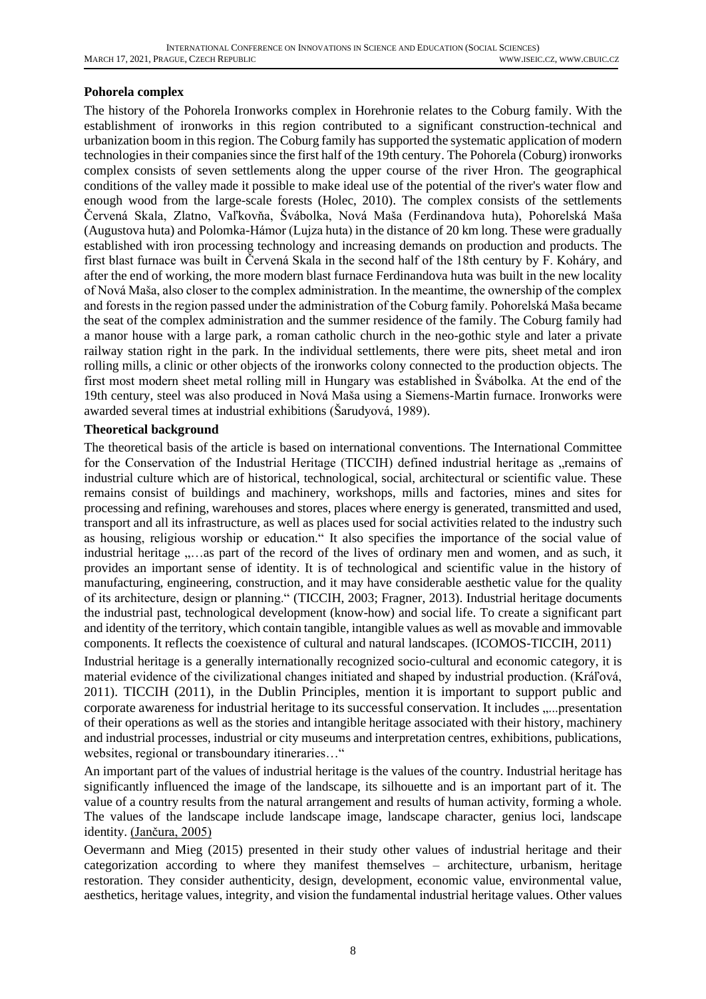### **Pohorela complex**

The history of the Pohorela Ironworks complex in Horehronie relates to the Coburg family. With the establishment of ironworks in this region contributed to a significant construction-technical and urbanization boom in this region. The Coburg family has supported the systematic application of modern technologies in their companies since the first half of the 19th century. The Pohorela (Coburg) ironworks complex consists of seven settlements along the upper course of the river Hron. The geographical conditions of the valley made it possible to make ideal use of the potential of the river's water flow and enough wood from the large-scale forests (Holec, 2010). The complex consists of the settlements Červená Skala, Zlatno, Vaľkovňa, Švábolka, Nová Maša (Ferdinandova huta), Pohorelská Maša (Augustova huta) and Polomka-Hámor (Lujza huta) in the distance of 20 km long. These were gradually established with iron processing technology and increasing demands on production and products. The first blast furnace was built in Červená Skala in the second half of the 18th century by F. Koháry, and after the end of working, the more modern blast furnace Ferdinandova huta was built in the new locality of Nová Maša, also closer to the complex administration. In the meantime, the ownership of the complex and forests in the region passed under the administration of the Coburg family. Pohorelská Maša became the seat of the complex administration and the summer residence of the family. The Coburg family had a manor house with a large park, a roman catholic church in the neo-gothic style and later a private railway station right in the park. In the individual settlements, there were pits, sheet metal and iron rolling mills, a clinic or other objects of the ironworks colony connected to the production objects. The first most modern sheet metal rolling mill in Hungary was established in Švábolka. At the end of the 19th century, steel was also produced in Nová Maša using a Siemens-Martin furnace. Ironworks were awarded several times at industrial exhibitions (Šarudyová, 1989).

#### **Theoretical background**

The theoretical basis of the article is based on international conventions. The International Committee for the Conservation of the Industrial Heritage (TICCIH) defined industrial heritage as "remains of industrial culture which are of historical, technological, social, architectural or scientific value. These remains consist of buildings and machinery, workshops, mills and factories, mines and sites for processing and refining, warehouses and stores, places where energy is generated, transmitted and used, transport and all its infrastructure, as well as places used for social activities related to the industry such as housing, religious worship or education." It also specifies the importance of the social value of industrial heritage ,....as part of the record of the lives of ordinary men and women, and as such, it provides an important sense of identity. It is of technological and scientific value in the history of manufacturing, engineering, construction, and it may have considerable aesthetic value for the quality of its architecture, design or planning." (TICCIH, 2003; Fragner, 2013). Industrial heritage documents the industrial past, technological development (know-how) and social life. To create a significant part and identity of the territory, which contain tangible, intangible values as well as movable and immovable components. It reflects the coexistence of cultural and natural landscapes. (ICOMOS-TICCIH, 2011)

Industrial heritage is a generally internationally recognized socio-cultural and economic category, it is material evidence of the civilizational changes initiated and shaped by industrial production. (Kráľová, 2011). TICCIH (2011), in the Dublin Principles, mention it is important to support public and corporate awareness for industrial heritage to its successful conservation. It includes "...presentation of their operations as well as the stories and intangible heritage associated with their history, machinery and industrial processes, industrial or city museums and interpretation centres, exhibitions, publications, websites, regional or transboundary itineraries…"

An important part of the values of industrial heritage is the values of the country. Industrial heritage has significantly influenced the image of the landscape, its silhouette and is an important part of it. The value of a country results from the natural arrangement and results of human activity, forming a whole. The values of the landscape include landscape image, landscape character, genius loci, landscape identity. (Jančura, 2005)

Oevermann and Mieg (2015) presented in their study other values of industrial heritage and their categorization according to where they manifest themselves – architecture, urbanism, heritage restoration. They consider authenticity, design, development, economic value, environmental value, aesthetics, heritage values, integrity, and vision the fundamental industrial heritage values. Other values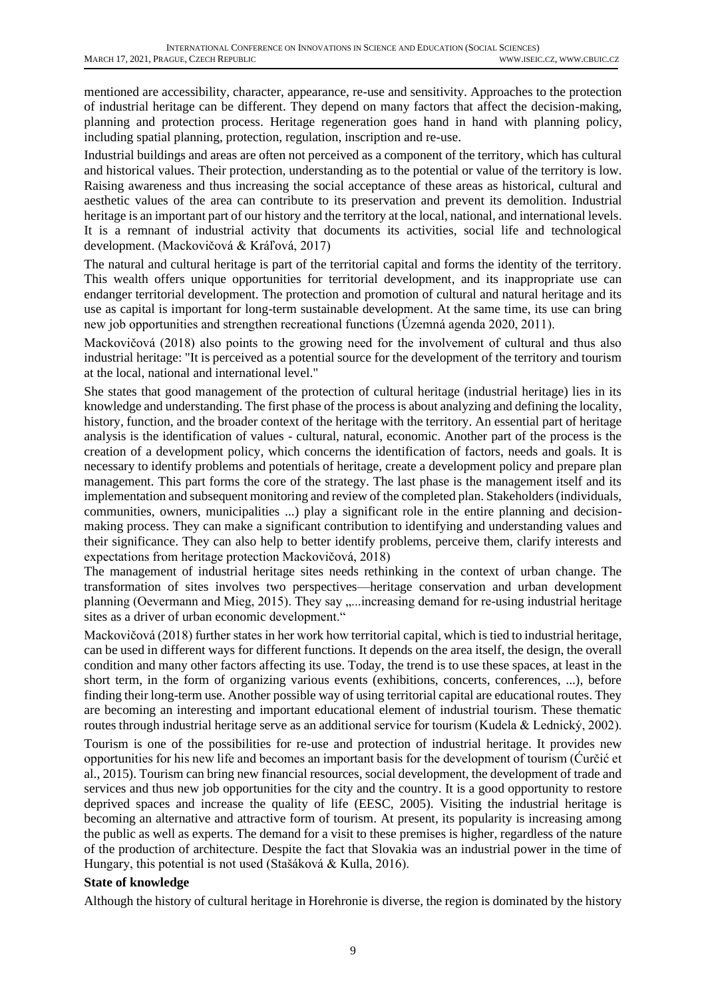mentioned are accessibility, character, appearance, re-use and sensitivity. Approaches to the protection of industrial heritage can be different. They depend on many factors that affect the decision-making, planning and protection process. Heritage regeneration goes hand in hand with planning policy, including spatial planning, protection, regulation, inscription and re-use.

Industrial buildings and areas are often not perceived as a component of the territory, which has cultural and historical values. Their protection, understanding as to the potential or value of the territory is low. Raising awareness and thus increasing the social acceptance of these areas as historical, cultural and aesthetic values of the area can contribute to its preservation and prevent its demolition. Industrial heritage is an important part of our history and the territory at the local, national, and international levels. It is a remnant of industrial activity that documents its activities, social life and technological development. (Mackovičová & Kráľová, 2017)

The natural and cultural heritage is part of the territorial capital and forms the identity of the territory. This wealth offers unique opportunities for territorial development, and its inappropriate use can endanger territorial development. The protection and promotion of cultural and natural heritage and its use as capital is important for long-term sustainable development. At the same time, its use can bring new job opportunities and strengthen recreational functions (Územná agenda 2020, 2011).

Mackovičová (2018) also points to the growing need for the involvement of cultural and thus also industrial heritage: "It is perceived as a potential source for the development of the territory and tourism at the local, national and international level."

She states that good management of the protection of cultural heritage (industrial heritage) lies in its knowledge and understanding. The first phase of the process is about analyzing and defining the locality, history, function, and the broader context of the heritage with the territory. An essential part of heritage analysis is the identification of values - cultural, natural, economic. Another part of the process is the creation of a development policy, which concerns the identification of factors, needs and goals. It is necessary to identify problems and potentials of heritage, create a development policy and prepare plan management. This part forms the core of the strategy. The last phase is the management itself and its implementation and subsequent monitoring and review of the completed plan. Stakeholders (individuals, communities, owners, municipalities ...) play a significant role in the entire planning and decisionmaking process. They can make a significant contribution to identifying and understanding values and their significance. They can also help to better identify problems, perceive them, clarify interests and expectations from heritage protection Mackovičová, 2018)

The management of industrial heritage sites needs rethinking in the context of urban change. The transformation of sites involves two perspectives—heritage conservation and urban development planning (Oevermann and Mieg, 2015). They say ,...increasing demand for re-using industrial heritage sites as a driver of urban economic development."

Mackovičová (2018) further states in her work how territorial capital, which is tied to industrial heritage, can be used in different ways for different functions. It depends on the area itself, the design, the overall condition and many other factors affecting its use. Today, the trend is to use these spaces, at least in the short term, in the form of organizing various events (exhibitions, concerts, conferences, ...), before finding their long-term use. Another possible way of using territorial capital are educational routes. They are becoming an interesting and important educational element of industrial tourism. These thematic routes through industrial heritage serve as an additional service for tourism (Kudela & Lednický, 2002).

Tourism is one of the possibilities for re-use and protection of industrial heritage. It provides new opportunities for his new life and becomes an important basis for the development of tourism (Ćurčić et al., 2015). Tourism can bring new financial resources, social development, the development of trade and services and thus new job opportunities for the city and the country. It is a good opportunity to restore deprived spaces and increase the quality of life (EESC, 2005). Visiting the industrial heritage is becoming an alternative and attractive form of tourism. At present, its popularity is increasing among the public as well as experts. The demand for a visit to these premises is higher, regardless of the nature of the production of architecture. Despite the fact that Slovakia was an industrial power in the time of Hungary, this potential is not used (Stašáková & Kulla, 2016).

#### **State of knowledge**

Although the history of cultural heritage in Horehronie is diverse, the region is dominated by the history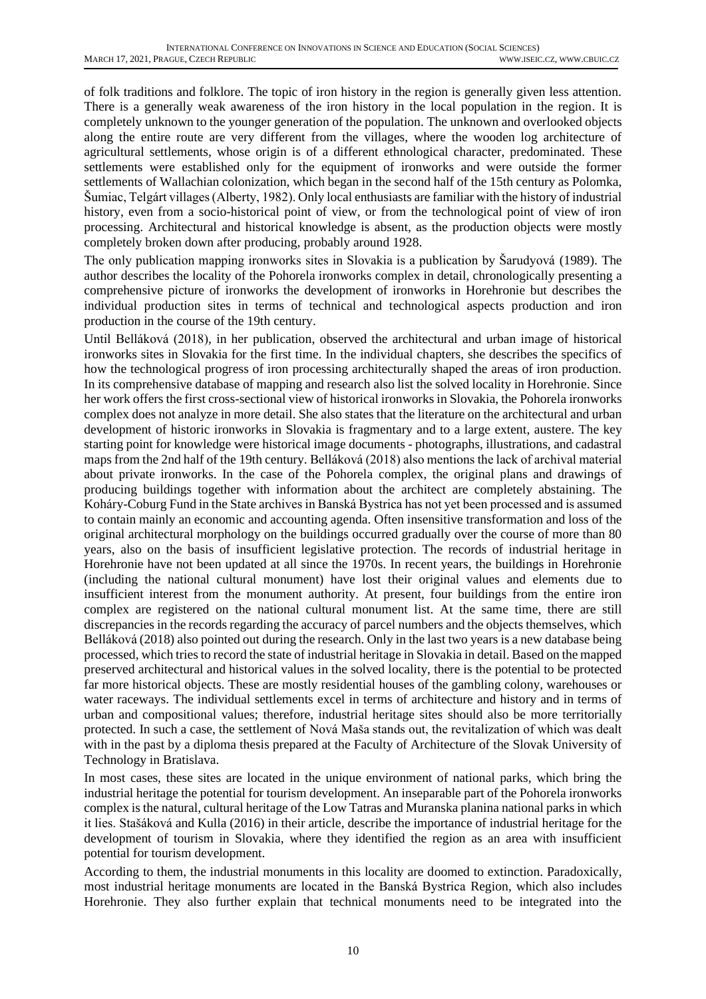of folk traditions and folklore. The topic of iron history in the region is generally given less attention. There is a generally weak awareness of the iron history in the local population in the region. It is completely unknown to the younger generation of the population. The unknown and overlooked objects along the entire route are very different from the villages, where the wooden log architecture of agricultural settlements, whose origin is of a different ethnological character, predominated. These settlements were established only for the equipment of ironworks and were outside the former settlements of Wallachian colonization, which began in the second half of the 15th century as Polomka, Šumiac, Telgárt villages (Alberty, 1982). Only local enthusiasts are familiar with the history of industrial history, even from a socio-historical point of view, or from the technological point of view of iron processing. Architectural and historical knowledge is absent, as the production objects were mostly completely broken down after producing, probably around 1928.

The only publication mapping ironworks sites in Slovakia is a publication by Šarudyová (1989). The author describes the locality of the Pohorela ironworks complex in detail, chronologically presenting a comprehensive picture of ironworks the development of ironworks in Horehronie but describes the individual production sites in terms of technical and technological aspects production and iron production in the course of the 19th century.

Until Belláková (2018), in her publication, observed the architectural and urban image of historical ironworks sites in Slovakia for the first time. In the individual chapters, she describes the specifics of how the technological progress of iron processing architecturally shaped the areas of iron production. In its comprehensive database of mapping and research also list the solved locality in Horehronie. Since her work offers the first cross-sectional view of historical ironworks in Slovakia, the Pohorela ironworks complex does not analyze in more detail. She also states that the literature on the architectural and urban development of historic ironworks in Slovakia is fragmentary and to a large extent, austere. The key starting point for knowledge were historical image documents - photographs, illustrations, and cadastral maps from the 2nd half of the 19th century. Belláková (2018) also mentions the lack of archival material about private ironworks. In the case of the Pohorela complex, the original plans and drawings of producing buildings together with information about the architect are completely abstaining. The Koháry-Coburg Fund in the State archives in Banská Bystrica has not yet been processed and is assumed to contain mainly an economic and accounting agenda. Often insensitive transformation and loss of the original architectural morphology on the buildings occurred gradually over the course of more than 80 years, also on the basis of insufficient legislative protection. The records of industrial heritage in Horehronie have not been updated at all since the 1970s. In recent years, the buildings in Horehronie (including the national cultural monument) have lost their original values and elements due to insufficient interest from the monument authority. At present, four buildings from the entire iron complex are registered on the national cultural monument list. At the same time, there are still discrepancies in the records regarding the accuracy of parcel numbers and the objects themselves, which Belláková (2018) also pointed out during the research. Only in the last two years is a new database being processed, which tries to record the state of industrial heritage in Slovakia in detail. Based on the mapped preserved architectural and historical values in the solved locality, there is the potential to be protected far more historical objects. These are mostly residential houses of the gambling colony, warehouses or water raceways. The individual settlements excel in terms of architecture and history and in terms of urban and compositional values; therefore, industrial heritage sites should also be more territorially protected. In such a case, the settlement of Nová Maša stands out, the revitalization of which was dealt with in the past by a diploma thesis prepared at the Faculty of Architecture of the Slovak University of Technology in Bratislava.

In most cases, these sites are located in the unique environment of national parks, which bring the industrial heritage the potential for tourism development. An inseparable part of the Pohorela ironworks complex is the natural, cultural heritage of the Low Tatras and Muranska planina national parks in which it lies. Stašáková and Kulla (2016) in their article, describe the importance of industrial heritage for the development of tourism in Slovakia, where they identified the region as an area with insufficient potential for tourism development.

According to them, the industrial monuments in this locality are doomed to extinction. Paradoxically, most industrial heritage monuments are located in the Banská Bystrica Region, which also includes Horehronie. They also further explain that technical monuments need to be integrated into the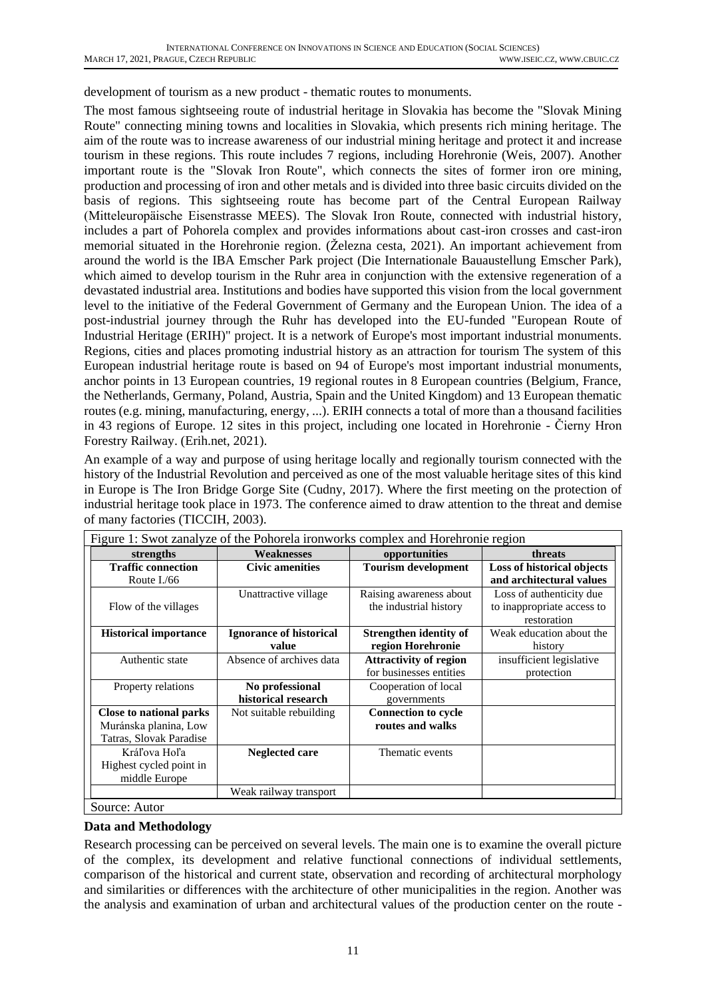development of tourism as a new product - thematic routes to monuments.

The most famous sightseeing route of industrial heritage in Slovakia has become the "Slovak Mining Route" connecting mining towns and localities in Slovakia, which presents rich mining heritage. The aim of the route was to increase awareness of our industrial mining heritage and protect it and increase tourism in these regions. This route includes 7 regions, including Horehronie (Weis, 2007). Another important route is the "Slovak Iron Route", which connects the sites of former iron ore mining, production and processing of iron and other metals and is divided into three basic circuits divided on the basis of regions. This sightseeing route has become part of the Central European Railway (Mitteleuropäische Eisenstrasse MEES). The Slovak Iron Route, connected with industrial history, includes a part of Pohorela complex and provides informations about cast-iron crosses and cast-iron memorial situated in the Horehronie region. (Železna cesta, 2021). An important achievement from around the world is the IBA Emscher Park project (Die Internationale Bauaustellung Emscher Park), which aimed to develop tourism in the Ruhr area in conjunction with the extensive regeneration of a devastated industrial area. Institutions and bodies have supported this vision from the local government level to the initiative of the Federal Government of Germany and the European Union. The idea of a post-industrial journey through the Ruhr has developed into the EU-funded "European Route of Industrial Heritage (ERIH)" project. It is a network of Europe's most important industrial monuments. Regions, cities and places promoting industrial history as an attraction for tourism The system of this European industrial heritage route is based on 94 of Europe's most important industrial monuments, anchor points in 13 European countries, 19 regional routes in 8 European countries (Belgium, France, the Netherlands, Germany, Poland, Austria, Spain and the United Kingdom) and 13 European thematic routes (e.g. mining, manufacturing, energy, ...). ERIH connects a total of more than a thousand facilities in 43 regions of Europe. 12 sites in this project, including one located in Horehronie - Čierny Hron Forestry Railway. (Erih.net, 2021).

An example of a way and purpose of using heritage locally and regionally tourism connected with the history of the Industrial Revolution and perceived as one of the most valuable heritage sites of this kind in Europe is The Iron Bridge Gorge Site (Cudny, 2017). Where the first meeting on the protection of industrial heritage took place in 1973. The conference aimed to draw attention to the threat and demise of many factories (TICCIH, 2003).

| Figure 1: Swot zanalyze of the Pohorela ironworks complex and Horehronie region |                                |                               |                            |
|---------------------------------------------------------------------------------|--------------------------------|-------------------------------|----------------------------|
| strengths                                                                       | <b>Weaknesses</b>              | opportunities                 | threats                    |
| <b>Traffic connection</b>                                                       | <b>Civic amenities</b>         | <b>Tourism development</b>    | Loss of historical objects |
| Route $I$ ./66                                                                  |                                |                               | and architectural values   |
|                                                                                 | Unattractive village           | Raising awareness about       | Loss of authenticity due   |
| Flow of the villages                                                            |                                | the industrial history        | to inappropriate access to |
|                                                                                 |                                |                               | restoration                |
| <b>Historical importance</b>                                                    | <b>Ignorance of historical</b> | <b>Strengthen identity of</b> | Weak education about the   |
|                                                                                 | value                          | region Horehronie             | history                    |
| Authentic state                                                                 | Absence of archives data       | <b>Attractivity of region</b> | insufficient legislative   |
|                                                                                 |                                | for businesses entities       | protection                 |
| Property relations                                                              | No professional                | Cooperation of local          |                            |
|                                                                                 | historical research            | governments                   |                            |
| Close to national parks                                                         | Not suitable rebuilding        | <b>Connection to cycle</b>    |                            |
| Muránska planina, Low                                                           |                                | routes and walks              |                            |
| Tatras, Slovak Paradise                                                         |                                |                               |                            |
| Kráľova Hoľa                                                                    | Neglected care                 | Thematic events               |                            |
| Highest cycled point in                                                         |                                |                               |                            |
| middle Europe                                                                   |                                |                               |                            |
|                                                                                 | Weak railway transport         |                               |                            |
| Source: Autor                                                                   |                                |                               |                            |

#### **Data and Methodology**

Research processing can be perceived on several levels. The main one is to examine the overall picture of the complex, its development and relative functional connections of individual settlements, comparison of the historical and current state, observation and recording of architectural morphology and similarities or differences with the architecture of other municipalities in the region. Another was the analysis and examination of urban and architectural values of the production center on the route -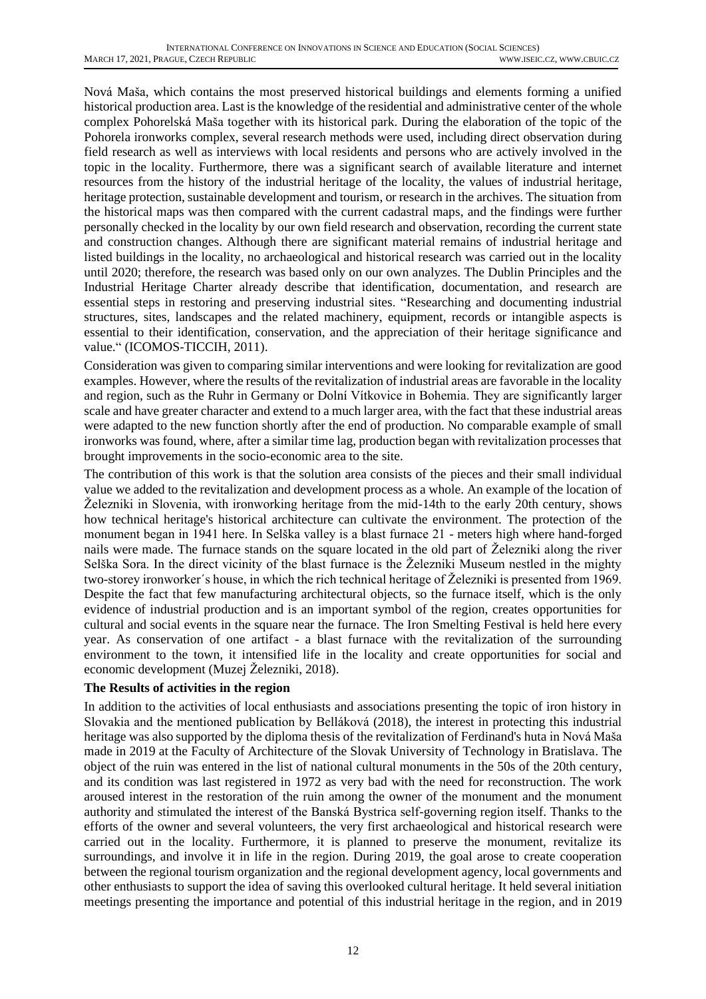Nová Maša, which contains the most preserved historical buildings and elements forming a unified historical production area. Last is the knowledge of the residential and administrative center of the whole complex Pohorelská Maša together with its historical park. During the elaboration of the topic of the Pohorela ironworks complex, several research methods were used, including direct observation during field research as well as interviews with local residents and persons who are actively involved in the topic in the locality. Furthermore, there was a significant search of available literature and internet resources from the history of the industrial heritage of the locality, the values of industrial heritage, heritage protection, sustainable development and tourism, or research in the archives. The situation from the historical maps was then compared with the current cadastral maps, and the findings were further personally checked in the locality by our own field research and observation, recording the current state and construction changes. Although there are significant material remains of industrial heritage and listed buildings in the locality, no archaeological and historical research was carried out in the locality until 2020; therefore, the research was based only on our own analyzes. The Dublin Principles and the Industrial Heritage Charter already describe that identification, documentation, and research are essential steps in restoring and preserving industrial sites. "Researching and documenting industrial structures, sites, landscapes and the related machinery, equipment, records or intangible aspects is essential to their identification, conservation, and the appreciation of their heritage significance and value." (ICOMOS-TICCIH, 2011).

Consideration was given to comparing similar interventions and were looking for revitalization are good examples. However, where the results of the revitalization of industrial areas are favorable in the locality and region, such as the Ruhr in Germany or Dolní Vítkovice in Bohemia. They are significantly larger scale and have greater character and extend to a much larger area, with the fact that these industrial areas were adapted to the new function shortly after the end of production. No comparable example of small ironworks was found, where, after a similar time lag, production began with revitalization processes that brought improvements in the socio-economic area to the site.

The contribution of this work is that the solution area consists of the pieces and their small individual value we added to the revitalization and development process as a whole. An example of the location of Železniki in Slovenia, with ironworking heritage from the mid-14th to the early 20th century, shows how technical heritage's historical architecture can cultivate the environment. The protection of the monument began in 1941 here. In Selška valley is a blast furnace 21 - meters high where hand-forged nails were made. The furnace stands on the square located in the old part of Železniki along the river Selška Sora. In the direct vicinity of the blast furnace is the Železniki Museum nestled in the mighty two-storey ironworker´s house, in which the rich technical heritage of Železniki is presented from 1969. Despite the fact that few manufacturing architectural objects, so the furnace itself, which is the only evidence of industrial production and is an important symbol of the region, creates opportunities for cultural and social events in the square near the furnace. The Iron Smelting Festival is held here every year. As conservation of one artifact - a blast furnace with the revitalization of the surrounding environment to the town, it intensified life in the locality and create opportunities for social and economic development (Muzej Železniki, 2018).

#### **The Results of activities in the region**

In addition to the activities of local enthusiasts and associations presenting the topic of iron history in Slovakia and the mentioned publication by Belláková (2018), the interest in protecting this industrial heritage was also supported by the diploma thesis of the revitalization of Ferdinand's huta in Nová Maša made in 2019 at the Faculty of Architecture of the Slovak University of Technology in Bratislava. The object of the ruin was entered in the list of national cultural monuments in the 50s of the 20th century, and its condition was last registered in 1972 as very bad with the need for reconstruction. The work aroused interest in the restoration of the ruin among the owner of the monument and the monument authority and stimulated the interest of the Banská Bystrica self-governing region itself. Thanks to the efforts of the owner and several volunteers, the very first archaeological and historical research were carried out in the locality. Furthermore, it is planned to preserve the monument, revitalize its surroundings, and involve it in life in the region. During 2019, the goal arose to create cooperation between the regional tourism organization and the regional development agency, local governments and other enthusiasts to support the idea of saving this overlooked cultural heritage. It held several initiation meetings presenting the importance and potential of this industrial heritage in the region, and in 2019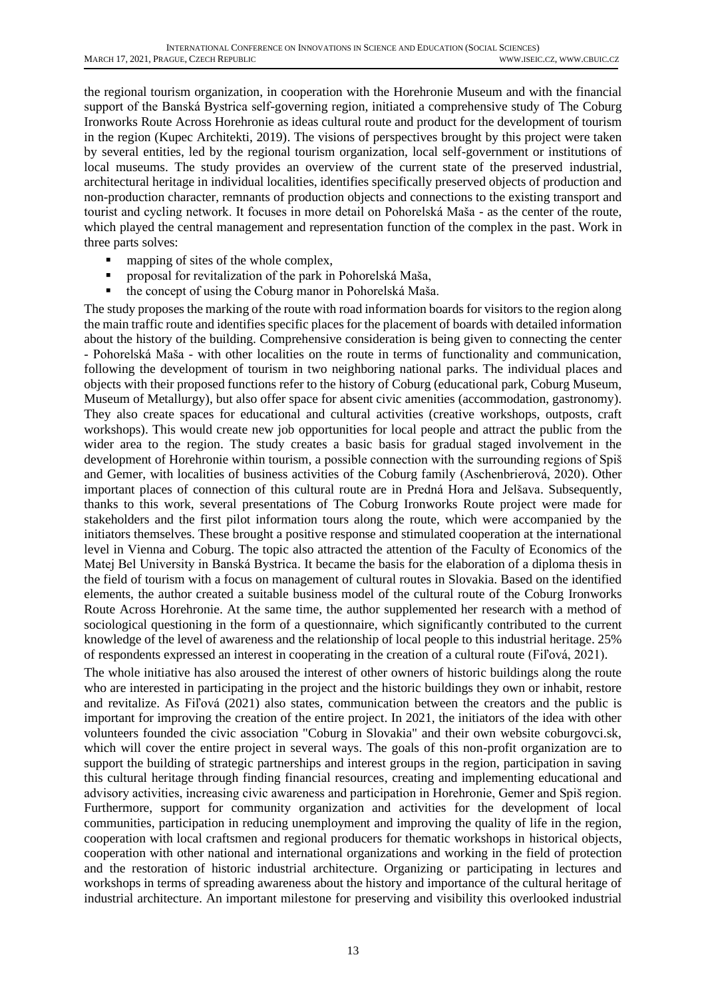the regional tourism organization, in cooperation with the Horehronie Museum and with the financial support of the Banská Bystrica self-governing region, initiated a comprehensive study of The Coburg Ironworks Route Across Horehronie as ideas cultural route and product for the development of tourism in the region (Kupec Architekti, 2019). The visions of perspectives brought by this project were taken by several entities, led by the regional tourism organization, local self-government or institutions of local museums. The study provides an overview of the current state of the preserved industrial, architectural heritage in individual localities, identifies specifically preserved objects of production and non-production character, remnants of production objects and connections to the existing transport and tourist and cycling network. It focuses in more detail on Pohorelská Maša - as the center of the route, which played the central management and representation function of the complex in the past. Work in three parts solves:

- mapping of sites of the whole complex,
- proposal for revitalization of the park in Pohorelská Maša,
- the concept of using the Coburg manor in Pohorelská Maša.

The study proposes the marking of the route with road information boards for visitors to the region along the main traffic route and identifies specific places for the placement of boards with detailed information about the history of the building. Comprehensive consideration is being given to connecting the center - Pohorelská Maša - with other localities on the route in terms of functionality and communication, following the development of tourism in two neighboring national parks. The individual places and objects with their proposed functions refer to the history of Coburg (educational park, Coburg Museum, Museum of Metallurgy), but also offer space for absent civic amenities (accommodation, gastronomy). They also create spaces for educational and cultural activities (creative workshops, outposts, craft workshops). This would create new job opportunities for local people and attract the public from the wider area to the region. The study creates a basic basis for gradual staged involvement in the development of Horehronie within tourism, a possible connection with the surrounding regions of Spiš and Gemer, with localities of business activities of the Coburg family (Aschenbrierová, 2020). Other important places of connection of this cultural route are in Predná Hora and Jelšava. Subsequently, thanks to this work, several presentations of The Coburg Ironworks Route project were made for stakeholders and the first pilot information tours along the route, which were accompanied by the initiators themselves. These brought a positive response and stimulated cooperation at the international level in Vienna and Coburg. The topic also attracted the attention of the Faculty of Economics of the Matej Bel University in Banská Bystrica. It became the basis for the elaboration of a diploma thesis in the field of tourism with a focus on management of cultural routes in Slovakia. Based on the identified elements, the author created a suitable business model of the cultural route of the Coburg Ironworks Route Across Horehronie. At the same time, the author supplemented her research with a method of sociological questioning in the form of a questionnaire, which significantly contributed to the current knowledge of the level of awareness and the relationship of local people to this industrial heritage. 25% of respondents expressed an interest in cooperating in the creation of a cultural route (Fiľová, 2021).

The whole initiative has also aroused the interest of other owners of historic buildings along the route who are interested in participating in the project and the historic buildings they own or inhabit, restore and revitalize. As Fiľová (2021) also states, communication between the creators and the public is important for improving the creation of the entire project. In 2021, the initiators of the idea with other volunteers founded the civic association "Coburg in Slovakia" and their own website coburgovci.sk, which will cover the entire project in several ways. The goals of this non-profit organization are to support the building of strategic partnerships and interest groups in the region, participation in saving this cultural heritage through finding financial resources, creating and implementing educational and advisory activities, increasing civic awareness and participation in Horehronie, Gemer and Spiš region. Furthermore, support for community organization and activities for the development of local communities, participation in reducing unemployment and improving the quality of life in the region, cooperation with local craftsmen and regional producers for thematic workshops in historical objects, cooperation with other national and international organizations and working in the field of protection and the restoration of historic industrial architecture. Organizing or participating in lectures and workshops in terms of spreading awareness about the history and importance of the cultural heritage of industrial architecture. An important milestone for preserving and visibility this overlooked industrial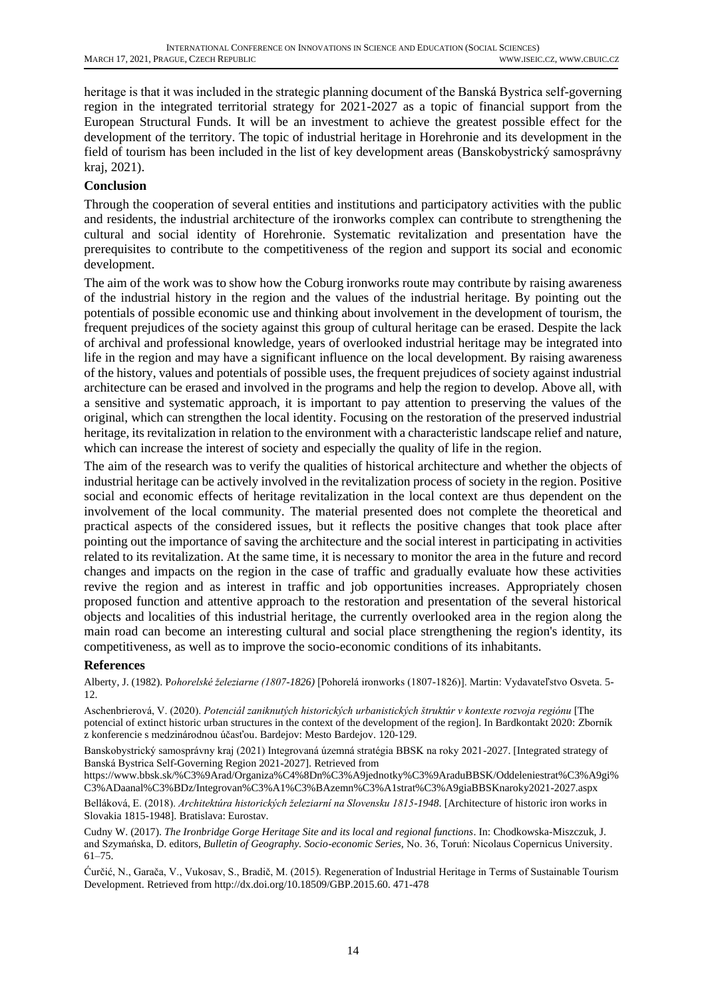heritage is that it was included in the strategic planning document of the Banská Bystrica self-governing region in the integrated territorial strategy for 2021-2027 as a topic of financial support from the European Structural Funds. It will be an investment to achieve the greatest possible effect for the development of the territory. The topic of industrial heritage in Horehronie and its development in the field of tourism has been included in the list of key development areas (Banskobystrický samosprávny kraj, 2021).

#### **Conclusion**

Through the cooperation of several entities and institutions and participatory activities with the public and residents, the industrial architecture of the ironworks complex can contribute to strengthening the cultural and social identity of Horehronie. Systematic revitalization and presentation have the prerequisites to contribute to the competitiveness of the region and support its social and economic development.

The aim of the work was to show how the Coburg ironworks route may contribute by raising awareness of the industrial history in the region and the values of the industrial heritage. By pointing out the potentials of possible economic use and thinking about involvement in the development of tourism, the frequent prejudices of the society against this group of cultural heritage can be erased. Despite the lack of archival and professional knowledge, years of overlooked industrial heritage may be integrated into life in the region and may have a significant influence on the local development. By raising awareness of the history, values and potentials of possible uses, the frequent prejudices of society against industrial architecture can be erased and involved in the programs and help the region to develop. Above all, with a sensitive and systematic approach, it is important to pay attention to preserving the values of the original, which can strengthen the local identity. Focusing on the restoration of the preserved industrial heritage, its revitalization in relation to the environment with a characteristic landscape relief and nature, which can increase the interest of society and especially the quality of life in the region.

The aim of the research was to verify the qualities of historical architecture and whether the objects of industrial heritage can be actively involved in the revitalization process of society in the region. Positive social and economic effects of heritage revitalization in the local context are thus dependent on the involvement of the local community. The material presented does not complete the theoretical and practical aspects of the considered issues, but it reflects the positive changes that took place after pointing out the importance of saving the architecture and the social interest in participating in activities related to its revitalization. At the same time, it is necessary to monitor the area in the future and record changes and impacts on the region in the case of traffic and gradually evaluate how these activities revive the region and as interest in traffic and job opportunities increases. Appropriately chosen proposed function and attentive approach to the restoration and presentation of the several historical objects and localities of this industrial heritage, the currently overlooked area in the region along the main road can become an interesting cultural and social place strengthening the region's identity, its competitiveness, as well as to improve the socio-economic conditions of its inhabitants.

#### **References**

Alberty, J. (1982). P*ohorelské železiarne (1807-1826)* [Pohorelá ironworks (1807-1826)]. Martin: Vydavateľstvo Osveta. 5- 12.

Aschenbrierová, V. (2020). *Potenciál zaniknutých historických urbanistických štruktúr v kontexte rozvoja regiónu* [The potencial of extinct historic urban structures in the context of the development of the region]. In Bardkontakt 2020: Zborník z konferencie s medzinárodnou účasťou. Bardejov: Mesto Bardejov. 120-129.

Banskobystrický samosprávny kraj (2021) Integrovaná územná stratégia BBSK na roky 2021-2027. [Integrated strategy of Banská Bystrica Self-Governing Region 2021-2027]. Retrieved from

[https://www.bbsk.sk/%C3%9Arad/Organiza%C4%8Dn%C3%A9jednotky%C3%9AraduBBSK/Oddeleniestrat%C3%A9gi%](https://www.bbsk.sk/%C3%9Arad/Organiza%C4%8Dn%C3%A9jednotky%C3%9AraduBBSK/Oddeleniestrat%C3%A9gi%C3%ADaanal%C3%BDz/Integrovan%C3%A1%C3%BAzemn%C3%A1strat%C3%A9giaBBSKnaroky2021-2027.aspx) [C3%ADaanal%C3%BDz/Integrovan%C3%A1%C3%BAzemn%C3%A1strat%C3%A9giaBBSKnaroky2021-2027.aspx](https://www.bbsk.sk/%C3%9Arad/Organiza%C4%8Dn%C3%A9jednotky%C3%9AraduBBSK/Oddeleniestrat%C3%A9gi%C3%ADaanal%C3%BDz/Integrovan%C3%A1%C3%BAzemn%C3%A1strat%C3%A9giaBBSKnaroky2021-2027.aspx)

Belláková, E. (2018). *Architektúra historických železiarní na Slovensku 1815-1948*. [Architecture of historic iron works in Slovakia 1815-1948]. Bratislava: Eurostav.

Cudny W. (2017). *The Ironbridge Gorge Heritage Site and its local and regional functions*. In: Chodkowska-Miszczuk, J. and Szymańska, D. editors, *Bulletin of Geography. Socio-economic Series,* No. 36, Toruń: Nicolaus Copernicus University. 61–75.

Ćurčić, N., Garača, V., Vukosav, S., Bradič, M. (2015). Regeneration of Industrial Heritage in Terms of Sustainable Tourism Development. Retrieved from [http://dx.doi.org/10.18509/GBP.2015.60. 471-478](http://dx.doi.org/10.18509/GBP.2015.60.%20471-478)